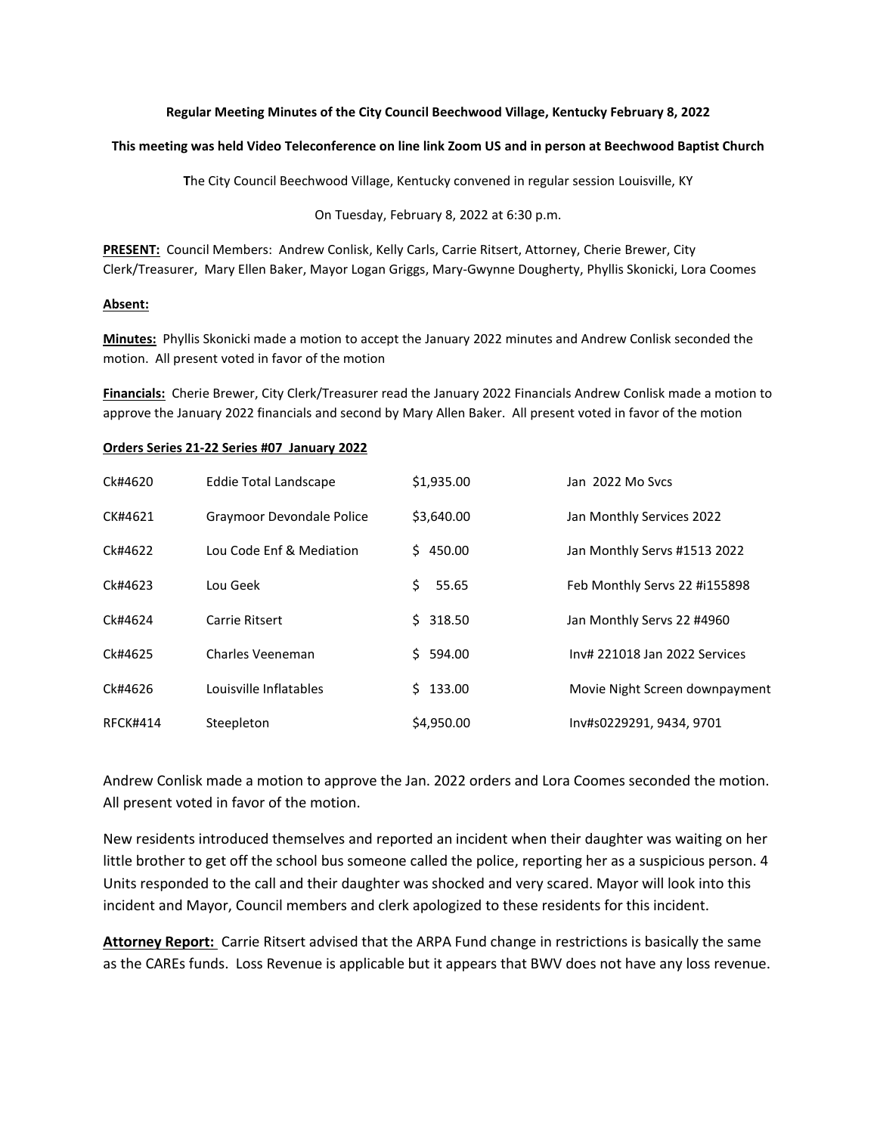## **Regular Meeting Minutes of the City Council Beechwood Village, Kentucky February 8, 2022**

## **This meeting was held Video Teleconference on line link Zoom US and in person at Beechwood Baptist Church**

**T**he City Council Beechwood Village, Kentucky convened in regular session Louisville, KY

On Tuesday, February 8, 2022 at 6:30 p.m.

**PRESENT:** Council Members: Andrew Conlisk, Kelly Carls, Carrie Ritsert, Attorney, Cherie Brewer, City Clerk/Treasurer, Mary Ellen Baker, Mayor Logan Griggs, Mary-Gwynne Dougherty, Phyllis Skonicki, Lora Coomes

## **Absent:**

**Minutes:** Phyllis Skonicki made a motion to accept the January 2022 minutes and Andrew Conlisk seconded the motion. All present voted in favor of the motion

**Financials:** Cherie Brewer, City Clerk/Treasurer read the January 2022 Financials Andrew Conlisk made a motion to approve the January 2022 financials and second by Mary Allen Baker. All present voted in favor of the motion

## **Orders Series 21-22 Series #07 January 2022**

| Ck#4620         | <b>Eddie Total Landscape</b> | \$1,935.00   | Jan 2022 Mo Svcs               |
|-----------------|------------------------------|--------------|--------------------------------|
| CK#4621         | Graymoor Devondale Police    | \$3,640.00   | Jan Monthly Services 2022      |
| Ck#4622         | Lou Code Enf & Mediation     | 450.00<br>S. | Jan Monthly Servs #1513 2022   |
| Ck#4623         | Lou Geek                     | Ś.<br>55.65  | Feb Monthly Servs 22 #i155898  |
| Ck#4624         | Carrie Ritsert               | 318.50<br>S. | Jan Monthly Servs 22 #4960     |
| Ck#4625         | Charles Veeneman             | 594.00<br>S. | Inv# 221018 Jan 2022 Services  |
| Ck#4626         | Louisville Inflatables       | 133.00<br>S. | Movie Night Screen downpayment |
| <b>RFCK#414</b> | Steepleton                   | \$4,950.00   | Inv#s0229291, 9434, 9701       |

Andrew Conlisk made a motion to approve the Jan. 2022 orders and Lora Coomes seconded the motion. All present voted in favor of the motion.

New residents introduced themselves and reported an incident when their daughter was waiting on her little brother to get off the school bus someone called the police, reporting her as a suspicious person. 4 Units responded to the call and their daughter was shocked and very scared. Mayor will look into this incident and Mayor, Council members and clerk apologized to these residents for this incident.

**Attorney Report:** Carrie Ritsert advised that the ARPA Fund change in restrictions is basically the same as the CAREs funds. Loss Revenue is applicable but it appears that BWV does not have any loss revenue.